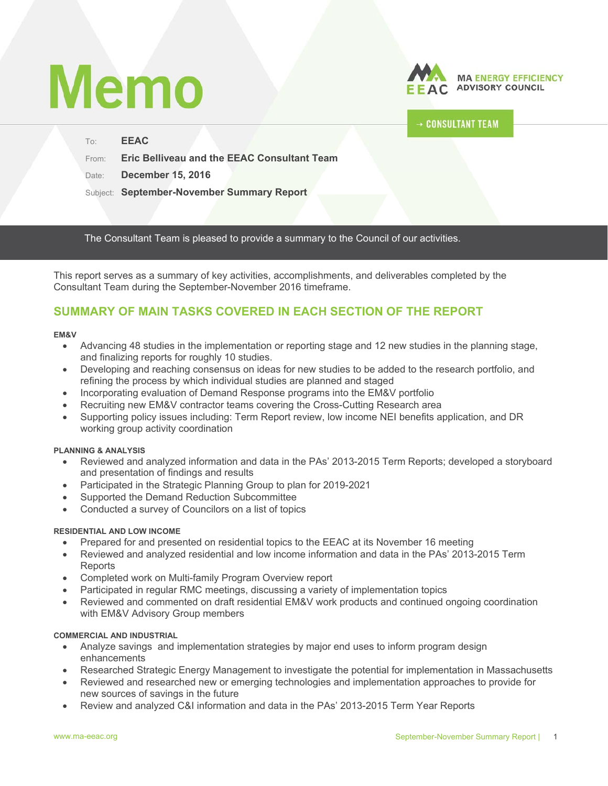# **Memo**



## **CONSULTANT TEAM**

| To:   | <b>EEAC</b>                                        |
|-------|----------------------------------------------------|
| From: | <b>Eric Belliveau and the EEAC Consultant Team</b> |
| Date: | <b>December 15, 2016</b>                           |
|       | Subject: September-November Summary Report         |

The Consultant Team is pleased to provide a summary to the Council of our activities.

This report serves as a summary of key activities, accomplishments, and deliverables completed by the Consultant Team during the September-November 2016 timeframe.

# **SUMMARY OF MAIN TASKS COVERED IN EACH SECTION OF THE REPORT**

#### **EM&V**

- Advancing 48 studies in the implementation or reporting stage and 12 new studies in the planning stage, and finalizing reports for roughly 10 studies.
- Developing and reaching consensus on ideas for new studies to be added to the research portfolio, and refining the process by which individual studies are planned and staged
- Incorporating evaluation of Demand Response programs into the EM&V portfolio
- Recruiting new EM&V contractor teams covering the Cross-Cutting Research area
- Supporting policy issues including: Term Report review, low income NEI benefits application, and DR working group activity coordination

## **PLANNING & ANALYSIS**

- Reviewed and analyzed information and data in the PAs' 2013-2015 Term Reports; developed a storyboard and presentation of findings and results
- Participated in the Strategic Planning Group to plan for 2019-2021
- Supported the Demand Reduction Subcommittee
- Conducted a survey of Councilors on a list of topics

### **RESIDENTIAL AND LOW INCOME**

- Prepared for and presented on residential topics to the EEAC at its November 16 meeting
- Reviewed and analyzed residential and low income information and data in the PAs' 2013-2015 Term Reports
- Completed work on Multi-family Program Overview report
- Participated in regular RMC meetings, discussing a variety of implementation topics
- Reviewed and commented on draft residential EM&V work products and continued ongoing coordination with EM&V Advisory Group members

## **COMMERCIAL AND INDUSTRIAL**

- Analyze savings and implementation strategies by major end uses to inform program design enhancements
- Researched Strategic Energy Management to investigate the potential for implementation in Massachusetts
- Reviewed and researched new or emerging technologies and implementation approaches to provide for new sources of savings in the future
- Review and analyzed C&I information and data in the PAs' 2013-2015 Term Year Reports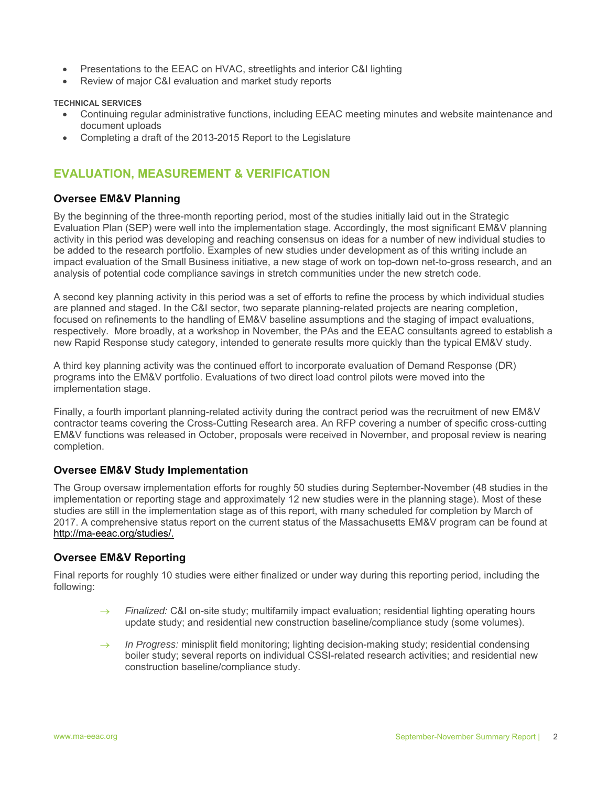- Presentations to the EEAC on HVAC, streetlights and interior C&I lighting
- Review of major C&I evaluation and market study reports

**TECHNICAL SERVICES** 

- Continuing regular administrative functions, including EEAC meeting minutes and website maintenance and document uploads
- Completing a draft of the 2013-2015 Report to the Legislature

# **EVALUATION, MEASUREMENT & VERIFICATION**

## **Oversee EM&V Planning**

By the beginning of the three-month reporting period, most of the studies initially laid out in the Strategic Evaluation Plan (SEP) were well into the implementation stage. Accordingly, the most significant EM&V planning activity in this period was developing and reaching consensus on ideas for a number of new individual studies to be added to the research portfolio. Examples of new studies under development as of this writing include an impact evaluation of the Small Business initiative, a new stage of work on top-down net-to-gross research, and an analysis of potential code compliance savings in stretch communities under the new stretch code.

A second key planning activity in this period was a set of efforts to refine the process by which individual studies are planned and staged. In the C&I sector, two separate planning-related projects are nearing completion, focused on refinements to the handling of EM&V baseline assumptions and the staging of impact evaluations, respectively. More broadly, at a workshop in November, the PAs and the EEAC consultants agreed to establish a new Rapid Response study category, intended to generate results more quickly than the typical EM&V study.

A third key planning activity was the continued effort to incorporate evaluation of Demand Response (DR) programs into the EM&V portfolio. Evaluations of two direct load control pilots were moved into the implementation stage.

Finally, a fourth important planning-related activity during the contract period was the recruitment of new EM&V contractor teams covering the Cross-Cutting Research area. An RFP covering a number of specific cross-cutting EM&V functions was released in October, proposals were received in November, and proposal review is nearing completion.

## **Oversee EM&V Study Implementation**

The Group oversaw implementation efforts for roughly 50 studies during September-November (48 studies in the implementation or reporting stage and approximately 12 new studies were in the planning stage). Most of these studies are still in the implementation stage as of this report, with many scheduled for completion by March of 2017. A comprehensive status report on the current status of the Massachusetts EM&V program can be found at http://ma-eeac.org/studies/.

## **Oversee EM&V Reporting**

Final reports for roughly 10 studies were either finalized or under way during this reporting period, including the following:

- → Finalized: C&I on-site study; multifamily impact evaluation; residential lighting operating hours update study; and residential new construction baseline/compliance study (some volumes).
- $\rightarrow$  In Progress: minisplit field monitoring; lighting decision-making study; residential condensing boiler study; several reports on individual CSSI-related research activities; and residential new construction baseline/compliance study.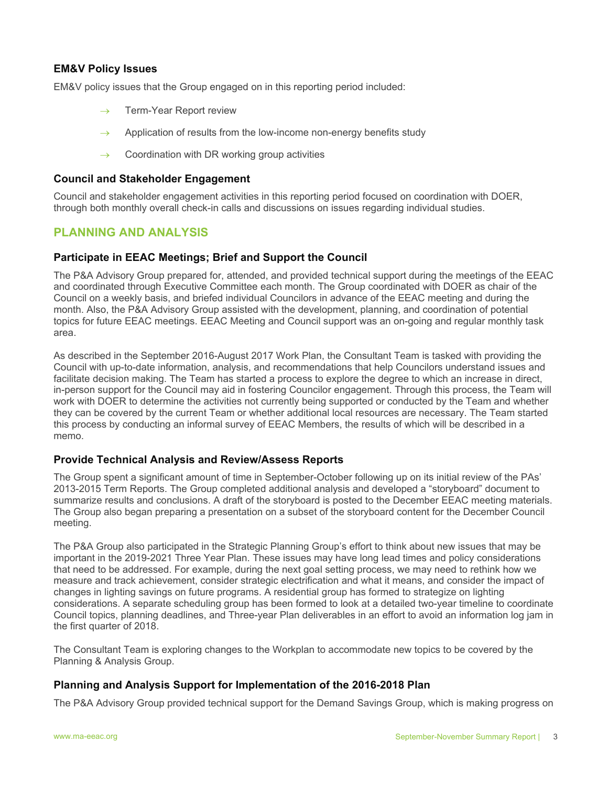## **EM&V Policy Issues**

EM&V policy issues that the Group engaged on in this reporting period included:

- $\rightarrow$  Term-Year Report review
- Application of results from the low-income non-energy benefits study
- $\rightarrow$  Coordination with DR working group activities

#### **Council and Stakeholder Engagement**

Council and stakeholder engagement activities in this reporting period focused on coordination with DOER, through both monthly overall check-in calls and discussions on issues regarding individual studies.

## **PLANNING AND ANALYSIS**

## **Participate in EEAC Meetings; Brief and Support the Council**

The P&A Advisory Group prepared for, attended, and provided technical support during the meetings of the EEAC and coordinated through Executive Committee each month. The Group coordinated with DOER as chair of the Council on a weekly basis, and briefed individual Councilors in advance of the EEAC meeting and during the month. Also, the P&A Advisory Group assisted with the development, planning, and coordination of potential topics for future EEAC meetings. EEAC Meeting and Council support was an on-going and regular monthly task area.

As described in the September 2016-August 2017 Work Plan, the Consultant Team is tasked with providing the Council with up-to-date information, analysis, and recommendations that help Councilors understand issues and facilitate decision making. The Team has started a process to explore the degree to which an increase in direct, in-person support for the Council may aid in fostering Councilor engagement. Through this process, the Team will work with DOER to determine the activities not currently being supported or conducted by the Team and whether they can be covered by the current Team or whether additional local resources are necessary. The Team started this process by conducting an informal survey of EEAC Members, the results of which will be described in a memo.

### **Provide Technical Analysis and Review/Assess Reports**

The Group spent a significant amount of time in September-October following up on its initial review of the PAs' 2013-2015 Term Reports. The Group completed additional analysis and developed a "storyboard" document to summarize results and conclusions. A draft of the storyboard is posted to the December EEAC meeting materials. The Group also began preparing a presentation on a subset of the storyboard content for the December Council meeting.

The P&A Group also participated in the Strategic Planning Group's effort to think about new issues that may be important in the 2019-2021 Three Year Plan. These issues may have long lead times and policy considerations that need to be addressed. For example, during the next goal setting process, we may need to rethink how we measure and track achievement, consider strategic electrification and what it means, and consider the impact of changes in lighting savings on future programs. A residential group has formed to strategize on lighting considerations. A separate scheduling group has been formed to look at a detailed two-year timeline to coordinate Council topics, planning deadlines, and Three-year Plan deliverables in an effort to avoid an information log jam in the first quarter of 2018.

The Consultant Team is exploring changes to the Workplan to accommodate new topics to be covered by the Planning & Analysis Group.

### **Planning and Analysis Support for Implementation of the 2016-2018 Plan**

The P&A Advisory Group provided technical support for the Demand Savings Group, which is making progress on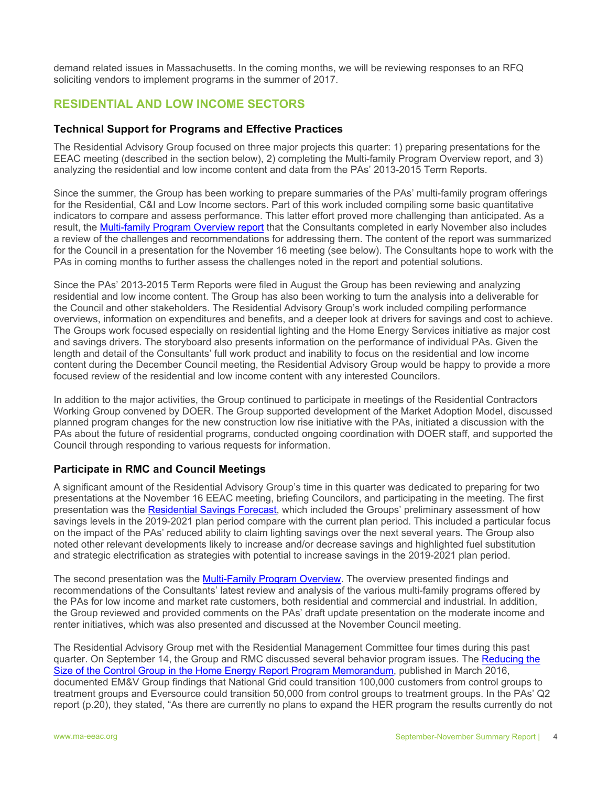demand related issues in Massachusetts. In the coming months, we will be reviewing responses to an RFQ soliciting vendors to implement programs in the summer of 2017.

## **RESIDENTIAL AND LOW INCOME SECTORS**

## **Technical Support for Programs and Effective Practices**

The Residential Advisory Group focused on three major projects this quarter: 1) preparing presentations for the EEAC meeting (described in the section below), 2) completing the Multi-family Program Overview report, and 3) analyzing the residential and low income content and data from the PAs' 2013-2015 Term Reports.

Since the summer, the Group has been working to prepare summaries of the PAs' multi-family program offerings for the Residential, C&I and Low Income sectors. Part of this work included compiling some basic quantitative indicators to compare and assess performance. This latter effort proved more challenging than anticipated. As a result, the Multi-family Program Overview report that the Consultants completed in early November also includes a review of the challenges and recommendations for addressing them. The content of the report was summarized for the Council in a presentation for the November 16 meeting (see below). The Consultants hope to work with the PAs in coming months to further assess the challenges noted in the report and potential solutions.

Since the PAs' 2013-2015 Term Reports were filed in August the Group has been reviewing and analyzing residential and low income content. The Group has also been working to turn the analysis into a deliverable for the Council and other stakeholders. The Residential Advisory Group's work included compiling performance overviews, information on expenditures and benefits, and a deeper look at drivers for savings and cost to achieve. The Groups work focused especially on residential lighting and the Home Energy Services initiative as major cost and savings drivers. The storyboard also presents information on the performance of individual PAs. Given the length and detail of the Consultants' full work product and inability to focus on the residential and low income content during the December Council meeting, the Residential Advisory Group would be happy to provide a more focused review of the residential and low income content with any interested Councilors.

In addition to the major activities, the Group continued to participate in meetings of the Residential Contractors Working Group convened by DOER. The Group supported development of the Market Adoption Model, discussed planned program changes for the new construction low rise initiative with the PAs, initiated a discussion with the PAs about the future of residential programs, conducted ongoing coordination with DOER staff, and supported the Council through responding to various requests for information.

## **Participate in RMC and Council Meetings**

A significant amount of the Residential Advisory Group's time in this quarter was dedicated to preparing for two presentations at the November 16 EEAC meeting, briefing Councilors, and participating in the meeting. The first presentation was the Residential Savings Forecast, which included the Groups' preliminary assessment of how savings levels in the 2019-2021 plan period compare with the current plan period. This included a particular focus on the impact of the PAs' reduced ability to claim lighting savings over the next several years. The Group also noted other relevant developments likely to increase and/or decrease savings and highlighted fuel substitution and strategic electrification as strategies with potential to increase savings in the 2019-2021 plan period.

The second presentation was the Multi-Family Program Overview. The overview presented findings and recommendations of the Consultants' latest review and analysis of the various multi-family programs offered by the PAs for low income and market rate customers, both residential and commercial and industrial. In addition, the Group reviewed and provided comments on the PAs' draft update presentation on the moderate income and renter initiatives, which was also presented and discussed at the November Council meeting.

The Residential Advisory Group met with the Residential Management Committee four times during this past quarter. On September 14, the Group and RMC discussed several behavior program issues. The Reducing the Size of the Control Group in the Home Energy Report Program Memorandum, published in March 2016, documented EM&V Group findings that National Grid could transition 100,000 customers from control groups to treatment groups and Eversource could transition 50,000 from control groups to treatment groups. In the PAs' Q2 report (p.20), they stated, "As there are currently no plans to expand the HER program the results currently do not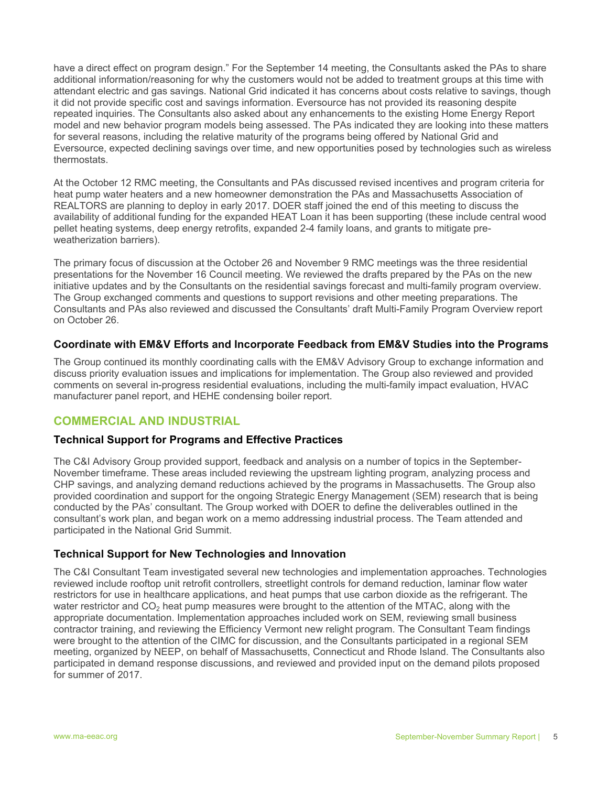have a direct effect on program design." For the September 14 meeting, the Consultants asked the PAs to share additional information/reasoning for why the customers would not be added to treatment groups at this time with attendant electric and gas savings. National Grid indicated it has concerns about costs relative to savings, though it did not provide specific cost and savings information. Eversource has not provided its reasoning despite repeated inquiries. The Consultants also asked about any enhancements to the existing Home Energy Report model and new behavior program models being assessed. The PAs indicated they are looking into these matters for several reasons, including the relative maturity of the programs being offered by National Grid and Eversource, expected declining savings over time, and new opportunities posed by technologies such as wireless thermostats.

At the October 12 RMC meeting, the Consultants and PAs discussed revised incentives and program criteria for heat pump water heaters and a new homeowner demonstration the PAs and Massachusetts Association of REALTORS are planning to deploy in early 2017. DOER staff joined the end of this meeting to discuss the availability of additional funding for the expanded HEAT Loan it has been supporting (these include central wood pellet heating systems, deep energy retrofits, expanded 2-4 family loans, and grants to mitigate preweatherization barriers).

The primary focus of discussion at the October 26 and November 9 RMC meetings was the three residential presentations for the November 16 Council meeting. We reviewed the drafts prepared by the PAs on the new initiative updates and by the Consultants on the residential savings forecast and multi-family program overview. The Group exchanged comments and questions to support revisions and other meeting preparations. The Consultants and PAs also reviewed and discussed the Consultants' draft Multi-Family Program Overview report on October 26.

## **Coordinate with EM&V Efforts and Incorporate Feedback from EM&V Studies into the Programs**

The Group continued its monthly coordinating calls with the EM&V Advisory Group to exchange information and discuss priority evaluation issues and implications for implementation. The Group also reviewed and provided comments on several in-progress residential evaluations, including the multi-family impact evaluation, HVAC manufacturer panel report, and HEHE condensing boiler report.

## **COMMERCIAL AND INDUSTRIAL**

## **Technical Support for Programs and Effective Practices**

The C&I Advisory Group provided support, feedback and analysis on a number of topics in the September-November timeframe. These areas included reviewing the upstream lighting program, analyzing process and CHP savings, and analyzing demand reductions achieved by the programs in Massachusetts. The Group also provided coordination and support for the ongoing Strategic Energy Management (SEM) research that is being conducted by the PAs' consultant. The Group worked with DOER to define the deliverables outlined in the consultant's work plan, and began work on a memo addressing industrial process. The Team attended and participated in the National Grid Summit.

## **Technical Support for New Technologies and Innovation**

The C&I Consultant Team investigated several new technologies and implementation approaches. Technologies reviewed include rooftop unit retrofit controllers, streetlight controls for demand reduction, laminar flow water restrictors for use in healthcare applications, and heat pumps that use carbon dioxide as the refrigerant. The water restrictor and  $CO<sub>2</sub>$  heat pump measures were brought to the attention of the MTAC, along with the appropriate documentation. Implementation approaches included work on SEM, reviewing small business contractor training, and reviewing the Efficiency Vermont new relight program. The Consultant Team findings were brought to the attention of the CIMC for discussion, and the Consultants participated in a regional SEM meeting, organized by NEEP, on behalf of Massachusetts, Connecticut and Rhode Island. The Consultants also participated in demand response discussions, and reviewed and provided input on the demand pilots proposed for summer of 2017.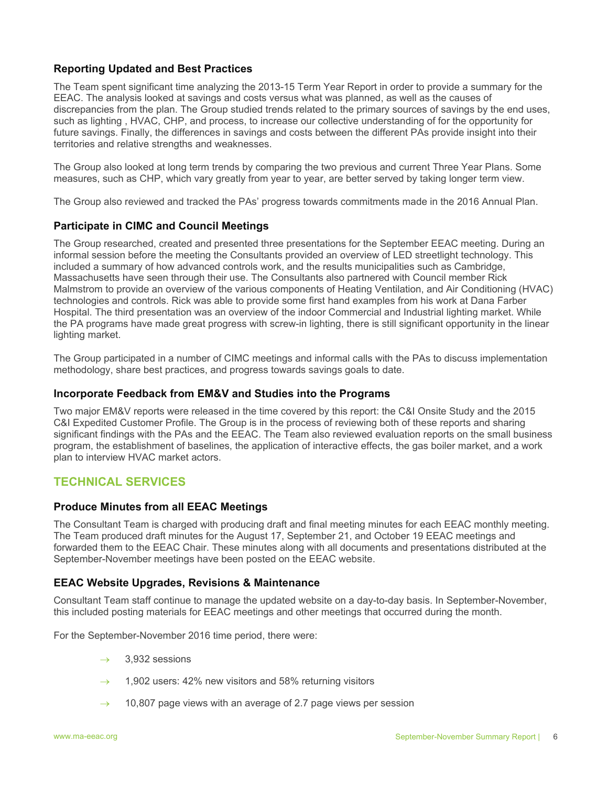## **Reporting Updated and Best Practices**

The Team spent significant time analyzing the 2013-15 Term Year Report in order to provide a summary for the EEAC. The analysis looked at savings and costs versus what was planned, as well as the causes of discrepancies from the plan. The Group studied trends related to the primary sources of savings by the end uses, such as lighting , HVAC, CHP, and process, to increase our collective understanding of for the opportunity for future savings. Finally, the differences in savings and costs between the different PAs provide insight into their territories and relative strengths and weaknesses.

The Group also looked at long term trends by comparing the two previous and current Three Year Plans. Some measures, such as CHP, which vary greatly from year to year, are better served by taking longer term view.

The Group also reviewed and tracked the PAs' progress towards commitments made in the 2016 Annual Plan.

## **Participate in CIMC and Council Meetings**

The Group researched, created and presented three presentations for the September EEAC meeting. During an informal session before the meeting the Consultants provided an overview of LED streetlight technology. This included a summary of how advanced controls work, and the results municipalities such as Cambridge, Massachusetts have seen through their use. The Consultants also partnered with Council member Rick Malmstrom to provide an overview of the various components of Heating Ventilation, and Air Conditioning (HVAC) technologies and controls. Rick was able to provide some first hand examples from his work at Dana Farber Hospital. The third presentation was an overview of the indoor Commercial and Industrial lighting market. While the PA programs have made great progress with screw-in lighting, there is still significant opportunity in the linear lighting market.

The Group participated in a number of CIMC meetings and informal calls with the PAs to discuss implementation methodology, share best practices, and progress towards savings goals to date.

## **Incorporate Feedback from EM&V and Studies into the Programs**

Two major EM&V reports were released in the time covered by this report: the C&I Onsite Study and the 2015 C&I Expedited Customer Profile. The Group is in the process of reviewing both of these reports and sharing significant findings with the PAs and the EEAC. The Team also reviewed evaluation reports on the small business program, the establishment of baselines, the application of interactive effects, the gas boiler market, and a work plan to interview HVAC market actors.

## **TECHNICAL SERVICES**

## **Produce Minutes from all EEAC Meetings**

The Consultant Team is charged with producing draft and final meeting minutes for each EEAC monthly meeting. The Team produced draft minutes for the August 17, September 21, and October 19 EEAC meetings and forwarded them to the EEAC Chair. These minutes along with all documents and presentations distributed at the September-November meetings have been posted on the EEAC website.

### **EEAC Website Upgrades, Revisions & Maintenance**

Consultant Team staff continue to manage the updated website on a day-to-day basis. In September-November, this included posting materials for EEAC meetings and other meetings that occurred during the month.

For the September-November 2016 time period, there were:

- $\rightarrow$  3,932 sessions
- 1,902 users: 42% new visitors and 58% returning visitors
- $\rightarrow$  10,807 page views with an average of 2.7 page views per session